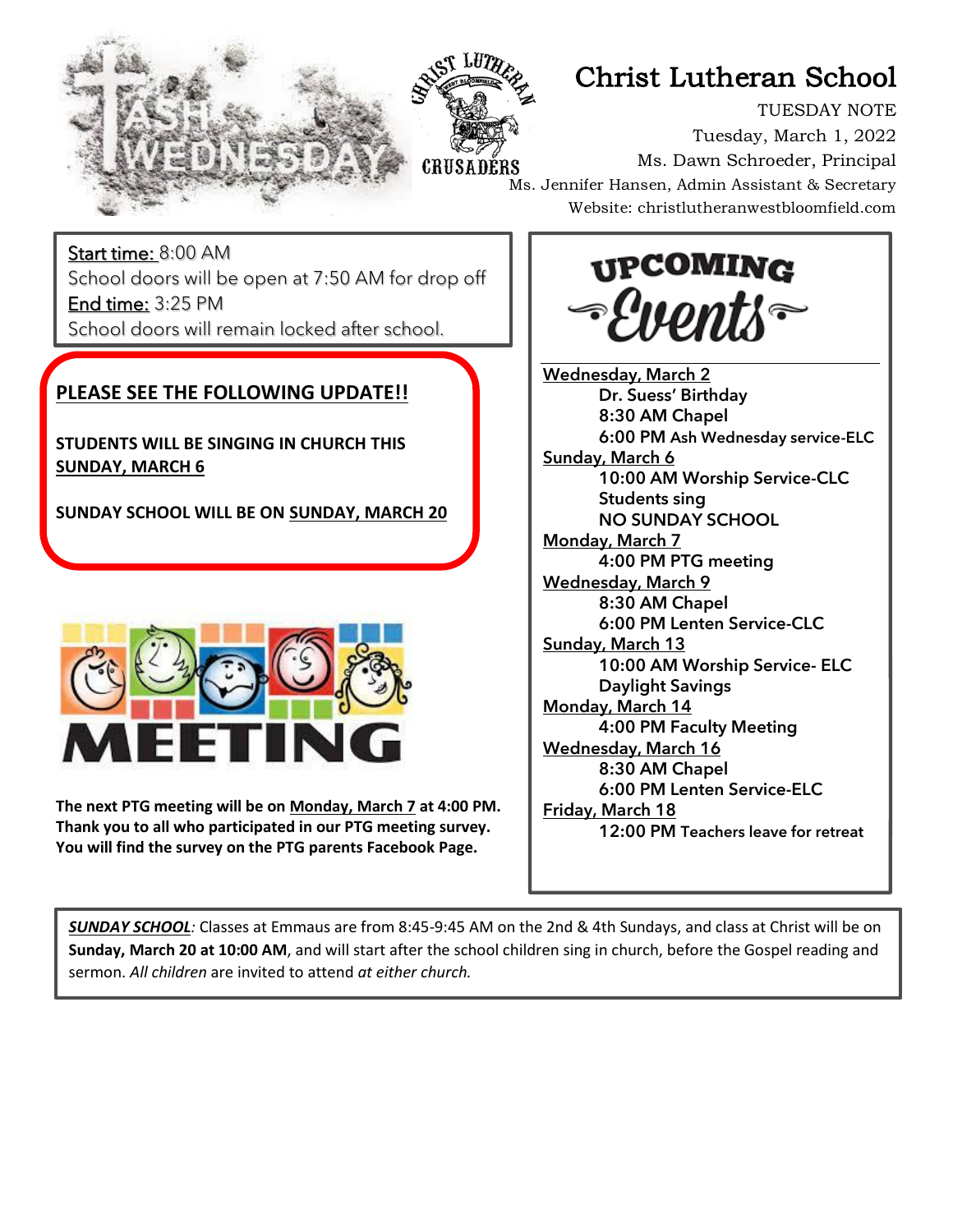



# Christ Lutheran School

TUESDAY NOTE Tuesday, March 1, 2022 Ms. Dawn Schroeder, Principal Ms. Jennifer Hansen, Admin Assistant & Secretary Website: christlutheranwestbloomfield.com

Start time: 8:00 AM School doors will be open at 7:50 AM for drop off End time: 3:25 PM School doors will remain locked after school.

### **PLEASE SEE THE FOLLOWING UPDATE!!**

j

**STUDENTS WILL BE SINGING IN CHURCH THIS SUNDAY, MARCH 6**

**SUNDAY SCHOOL WILL BE ON SUNDAY, MARCH 20**



**The next PTG meeting will be on Monday, March 7 at 4:00 PM. Thank you to all who participated in our PTG meeting survey. You will find the survey on the PTG parents Facebook Page.**

**UPCOMING** Puents

**Wednesday, March 2** Dr. Suess' Birthday 8:30 AM Chapel **6:00 PM Ash Wednesday service-ELC** Sunday, March 6 10:00 AM Worship Service-CLC Students sing NO SUNDAY SCHOOL Monday, March 7 4:00 PM PTG meeting Wednesday, March 9 8:30 AM Chapel 6:00 PM Lenten Service-CLC Sunday, March 13 10:00 AM Worship Service- ELC Daylight Savings Monday, March 14 4:00 PM Faculty Meeting Wednesday, March 16 8:30 AM Chapel 6:00 PM Lenten Service-ELC Friday, March 18 12:00 PM Teachers leave for retreat

*SUNDAY SCHOOL:* Classes at Emmaus are from 8:45-9:45 AM on the 2nd & 4th Sundays, and class at Christ will be on **Sunday, March 20 at 10:00 AM**, and will start after the school children sing in church, before the Gospel reading and sermon. *All children* are invited to attend *at either church.*